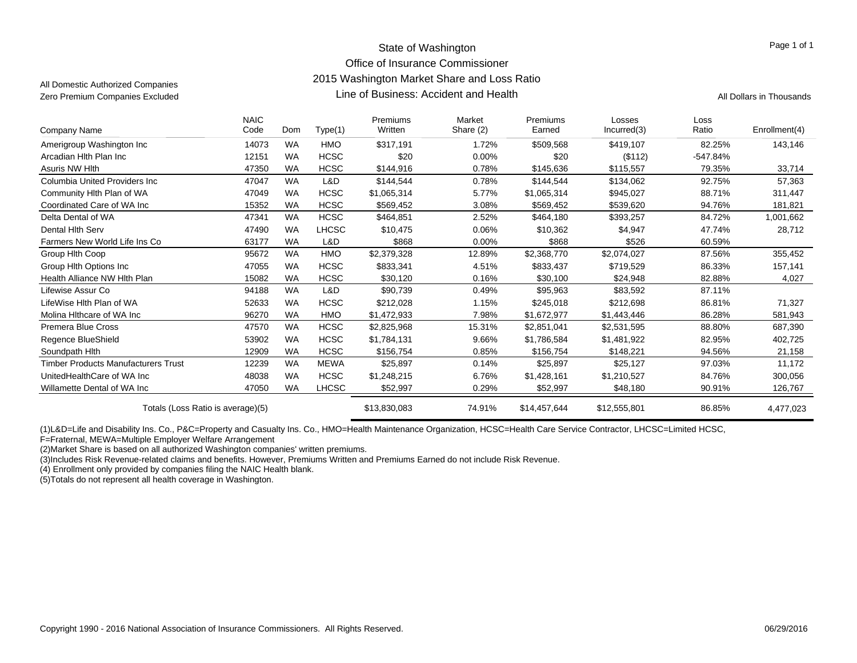### State of Washington Office of Insurance Commissioner 2015 Washington Market Share and Loss Ratio Line of Business: Accident and HealthZero Premium Companies Excluded **All Dollars in Thousands** Line of Business: Accident and Health All Dollars in Thousands

All Domestic Authorized Companies

Page 1 of 1

| Company Name                               | <b>NAIC</b><br>Code | Dom       | Type(1)      | <b>Premiums</b><br>Written | Market<br>Share (2) | Premiums<br>Earned | Losses<br>Incurred(3) | Loss<br>Ratio | Enrollment(4) |
|--------------------------------------------|---------------------|-----------|--------------|----------------------------|---------------------|--------------------|-----------------------|---------------|---------------|
| Amerigroup Washington Inc                  | 14073               | <b>WA</b> | <b>HMO</b>   | \$317,191                  | 1.72%               | \$509,568          | \$419,107             | 82.25%        | 143,146       |
| Arcadian Hith Plan Inc                     | 12151               | <b>WA</b> | <b>HCSC</b>  | \$20                       | 0.00%               | \$20               | (\$112)               | $-547.84%$    |               |
| Asuris NW Hlth                             | 47350               | <b>WA</b> | <b>HCSC</b>  | \$144,916                  | 0.78%               | \$145,636          | \$115,557             | 79.35%        | 33,714        |
| Columbia United Providers Inc.             | 47047               | <b>WA</b> | L&D          | \$144,544                  | 0.78%               | \$144,544          | \$134,062             | 92.75%        | 57,363        |
| Community Hlth Plan of WA                  | 47049               | <b>WA</b> | <b>HCSC</b>  | \$1,065,314                | 5.77%               | \$1,065,314        | \$945,027             | 88.71%        | 311,447       |
| Coordinated Care of WA Inc                 | 15352               | <b>WA</b> | <b>HCSC</b>  | \$569,452                  | 3.08%               | \$569,452          | \$539,620             | 94.76%        | 181,821       |
| Delta Dental of WA                         | 47341               | <b>WA</b> | <b>HCSC</b>  | \$464,851                  | 2.52%               | \$464,180          | \$393,257             | 84.72%        | 1,001,662     |
| Dental Hith Serv                           | 47490               | <b>WA</b> | <b>LHCSC</b> | \$10,475                   | 0.06%               | \$10,362           | \$4,947               | 47.74%        | 28,712        |
| Farmers New World Life Ins Co              | 63177               | <b>WA</b> | L&D          | \$868                      | $0.00\%$            | \$868              | \$526                 | 60.59%        |               |
| Group Hith Coop                            | 95672               | <b>WA</b> | <b>HMO</b>   | \$2,379,328                | 12.89%              | \$2,368,770        | \$2,074,027           | 87.56%        | 355,452       |
| Group Hith Options Inc                     | 47055               | <b>WA</b> | <b>HCSC</b>  | \$833,341                  | 4.51%               | \$833,437          | \$719,529             | 86.33%        | 157,141       |
| Health Alliance NW Hith Plan               | 15082               | <b>WA</b> | <b>HCSC</b>  | \$30,120                   | 0.16%               | \$30,100           | \$24,948              | 82.88%        | 4,027         |
| Lifewise Assur Co                          | 94188               | <b>WA</b> | L&D          | \$90,739                   | 0.49%               | \$95,963           | \$83,592              | 87.11%        |               |
| LifeWise Hith Plan of WA                   | 52633               | <b>WA</b> | <b>HCSC</b>  | \$212,028                  | 1.15%               | \$245,018          | \$212,698             | 86.81%        | 71,327        |
| Molina Hithcare of WA Inc                  | 96270               | <b>WA</b> | <b>HMO</b>   | \$1,472,933                | 7.98%               | \$1,672,977        | \$1,443,446           | 86.28%        | 581,943       |
| <b>Premera Blue Cross</b>                  | 47570               | <b>WA</b> | <b>HCSC</b>  | \$2,825,968                | 15.31%              | \$2,851,041        | \$2,531,595           | 88.80%        | 687,390       |
| Regence BlueShield                         | 53902               | <b>WA</b> | <b>HCSC</b>  | \$1,784,131                | 9.66%               | \$1,786,584        | \$1,481,922           | 82.95%        | 402,725       |
| Soundpath Hith                             | 12909               | <b>WA</b> | <b>HCSC</b>  | \$156,754                  | 0.85%               | \$156,754          | \$148,221             | 94.56%        | 21,158        |
| <b>Timber Products Manufacturers Trust</b> | 12239               | WA        | MEWA         | \$25,897                   | 0.14%               | \$25,897           | \$25,127              | 97.03%        | 11,172        |
| UnitedHealthCare of WA Inc                 | 48038               | <b>WA</b> | <b>HCSC</b>  | \$1,248,215                | 6.76%               | \$1,428,161        | \$1,210,527           | 84.76%        | 300,056       |
| Willamette Dental of WA Inc                | 47050               | <b>WA</b> | <b>LHCSC</b> | \$52,997                   | 0.29%               | \$52,997           | \$48,180              | 90.91%        | 126,767       |
| Totals (Loss Ratio is average)(5)          |                     |           |              | \$13,830,083               | 74.91%              | \$14,457,644       | \$12,555,801          | 86.85%        | 4,477,023     |

(1)L&D=Life and Disability Ins. Co., P&C=Property and Casualty Ins. Co., HMO=Health Maintenance Organization, HCSC=Health Care Service Contractor, LHCSC=Limited HCSC,

F=Fraternal, MEWA=Multiple Employer Welfare Arrangement

(2)Market Share is based on all authorized Washington companies' written premiums.

(3)Includes Risk Revenue-related claims and benefits. However, Premiums Written and Premiums Earned do not include Risk Revenue.

(4) Enrollment only provided by companies filing the NAIC Health blank.

(5)Totals do not represent all health coverage in Washington.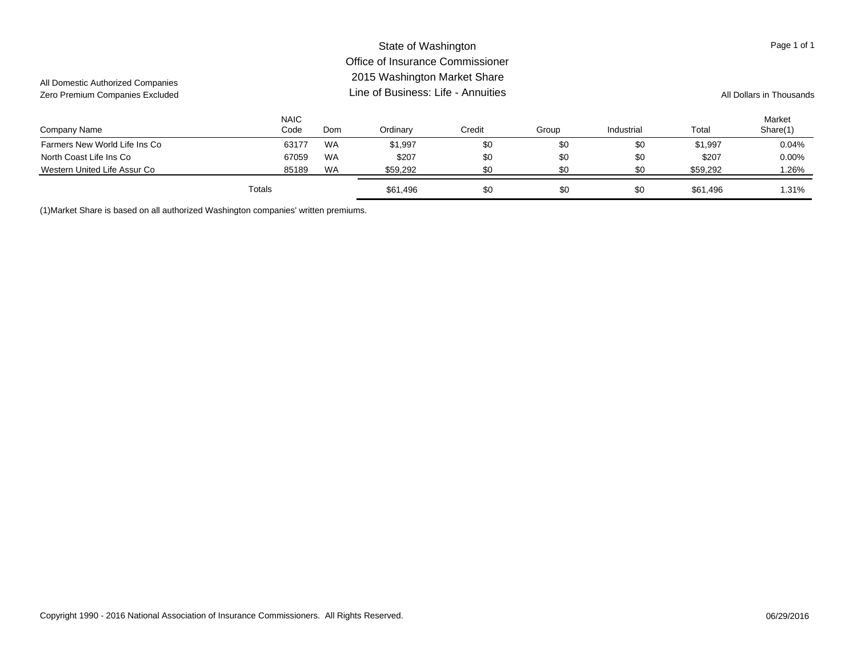#### Company Name NAICCode Ordinary Credit Group Industrial Total MarketShare(1) Domm Ordinary Credit Group Industrial Total Share(1) State of Washington Office of Insurance Commissioner2015 Washington Market Share Line of Business: Life - AnnuitiesAll Domestic Authorized Companies Zero Premium Companies Excluded **All Dollars in Thousands** Line of Business: Life - Annuities All Dollars in Thousands Page 1 of 1 Farmers New World Life Ins Co **63177 WA** \$1,997 \$0 \$0 \$0 \$1,997 \$0 \$1,997 0.04% North Coast Life Ins Co **67059 WA** \$207 \$0 \$0 \$207 \$207 \$207 \$207 0.00% Western United Life Assur Co **851 Concern Concern Concern Assume Assaure Concern Assume Assume Assume Assume Assume Assume Assume Assume Assume Assume Assume Assume Assume Assume Assume Assume Assume Assume Assume Assume A** Totals\$61,496 \$61,496 \$0 \$0 \$0 \$0 \$61,496 \$1.31%

(1)Market Share is based on all authorized Washington companies' written premiums.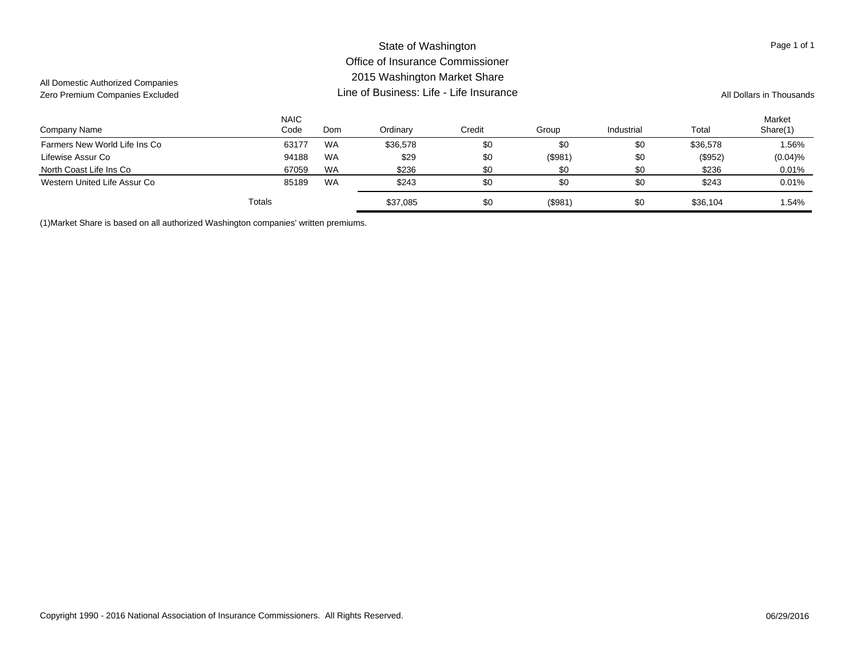#### Company Name NAICCode Ordinary Credit Group Industrial Total Market Domm Ordinary Credit Group Industrial Total Share(1) State of Washington Office of Insurance Commissioner2015 Washington Market Share Line of Business: Life - Life InsuranceAll Domestic Authorized Companies Zero Premium Companies Excluded **All Dollars in Thousands Line of Business: Life - Life Insurance** All Dollars in Thousands Page 1 of 1 Farmers New World Life Ins Co **63177 WA** \$36,578 \$0 \$0 \$36,578 \$0 \$36,578 1.56% Parmers New World Life Ins Co Lifewise Assur Co 94188 WA \$29 \$0 (\$981) \$0 (\$952) (0.04)% North Coast Life Ins Co **67059 WA** \$236 \$0 \$0 \$0 \$236 \$0 \$236 0.01% Western United Life Assur Co **85189 WA** \$243 \$0 \$0 \$243 \$0 \$243 0.01% Totals\$ \$37,085 \$0 (\$981) \$0 \$36,104 1.54%

(1)Market Share is based on all authorized Washington companies' written premiums.